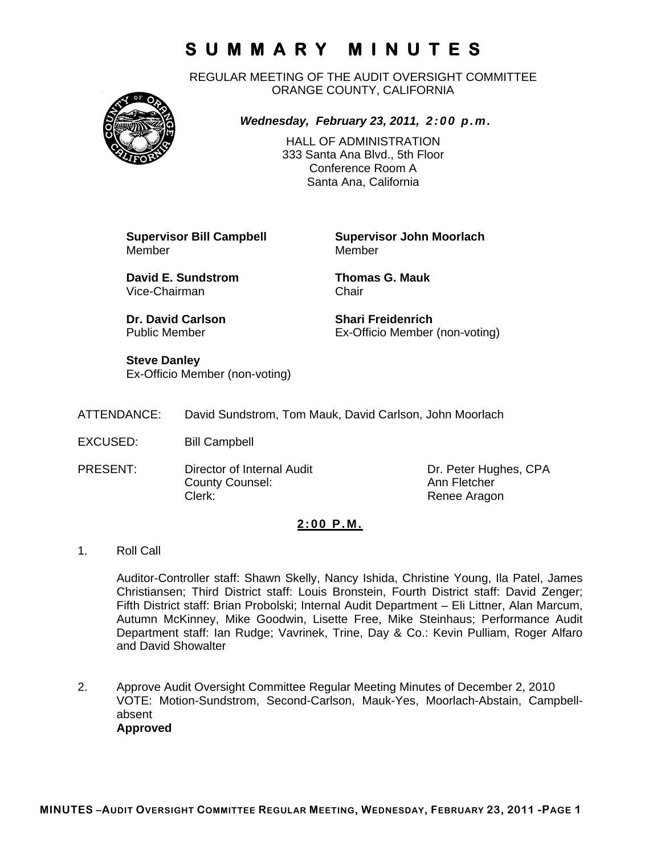REGULAR MEETING OF THE AUDIT OVERSIGHT COMMITTEE ORANGE COUNTY, CALIFORNIA



## *Wednesday, February 23, 2011, 2:00 p.m.*

HALL OF ADMINISTRATION 333 Santa Ana Blvd., 5th Floor Conference Room A Santa Ana, California

**Supervisor Bill Campbell Supervisor John Moorlach** Member

**David E. Sundstrom Thomas G. Mauk**  Vice-Chairman Chair

**Dr. David Carlson Shari Freidenrich Carlson Shari Freidenrich**<br>
Public Member State **Start Ex-Officio Member** 

Ex-Officio Member (non-voting)

**Steve Danley**  Ex-Officio Member (non-voting)

| ATTENDANCE: |  |  | David Sundstrom, Tom Mauk, David Carlson, John Moorlach |
|-------------|--|--|---------------------------------------------------------|
|-------------|--|--|---------------------------------------------------------|

- EXCUSED: Bill Campbell
- PRESENT: Director of Internal Audit Dr. Peter Hughes, CPA County Counsel: Counsel: Ann Fletcher Clerk: Clerk: Renee Aragon

#### **2:00 P.M.**

1. Roll Call

Auditor-Controller staff: Shawn Skelly, Nancy Ishida, Christine Young, Ila Patel, James Christiansen; Third District staff: Louis Bronstein, Fourth District staff: David Zenger; Fifth District staff: Brian Probolski; Internal Audit Department – Eli Littner, Alan Marcum, Autumn McKinney, Mike Goodwin, Lisette Free, Mike Steinhaus; Performance Audit Department staff: Ian Rudge; Vavrinek, Trine, Day & Co.: Kevin Pulliam, Roger Alfaro and David Showalter

2. Approve Audit Oversight Committee Regular Meeting Minutes of December 2, 2010 VOTE: Motion-Sundstrom, Second-Carlson, Mauk-Yes, Moorlach-Abstain, Campbellabsent **Approved**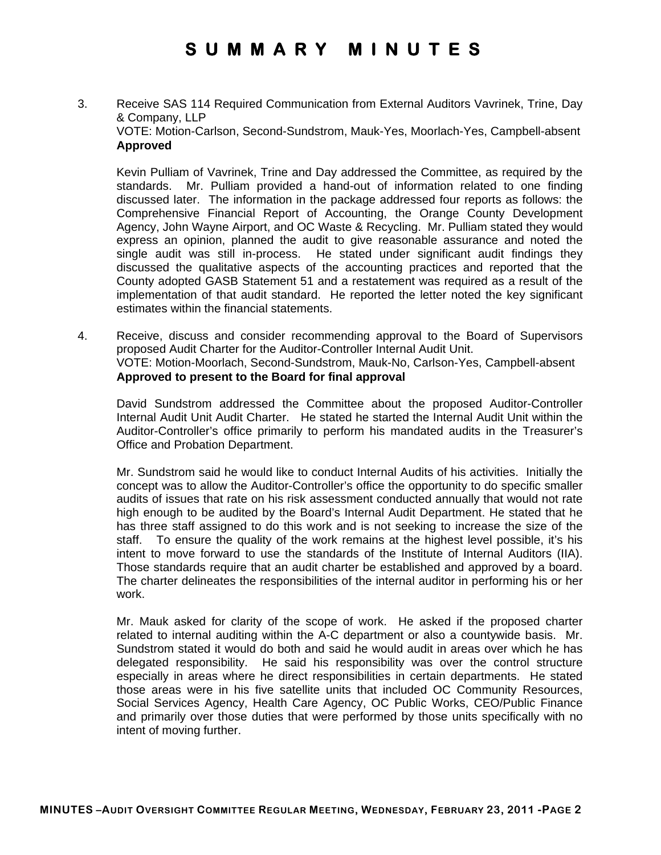3. Receive SAS 114 Required Communication from External Auditors Vavrinek, Trine, Day & Company, LLP VOTE: Motion-Carlson, Second-Sundstrom, Mauk-Yes, Moorlach-Yes, Campbell-absent **Approved** 

Kevin Pulliam of Vavrinek, Trine and Day addressed the Committee, as required by the standards. Mr. Pulliam provided a hand-out of information related to one finding discussed later. The information in the package addressed four reports as follows: the Comprehensive Financial Report of Accounting, the Orange County Development Agency, John Wayne Airport, and OC Waste & Recycling. Mr. Pulliam stated they would express an opinion, planned the audit to give reasonable assurance and noted the single audit was still in-process. He stated under significant audit findings they discussed the qualitative aspects of the accounting practices and reported that the County adopted GASB Statement 51 and a restatement was required as a result of the implementation of that audit standard. He reported the letter noted the key significant estimates within the financial statements.

4. Receive, discuss and consider recommending approval to the Board of Supervisors proposed Audit Charter for the Auditor-Controller Internal Audit Unit. VOTE: Motion-Moorlach, Second-Sundstrom, Mauk-No, Carlson-Yes, Campbell-absent **Approved to present to the Board for final approval** 

David Sundstrom addressed the Committee about the proposed Auditor-Controller Internal Audit Unit Audit Charter. He stated he started the Internal Audit Unit within the Auditor-Controller's office primarily to perform his mandated audits in the Treasurer's Office and Probation Department.

Mr. Sundstrom said he would like to conduct Internal Audits of his activities. Initially the concept was to allow the Auditor-Controller's office the opportunity to do specific smaller audits of issues that rate on his risk assessment conducted annually that would not rate high enough to be audited by the Board's Internal Audit Department. He stated that he has three staff assigned to do this work and is not seeking to increase the size of the staff. To ensure the quality of the work remains at the highest level possible, it's his intent to move forward to use the standards of the Institute of Internal Auditors (IIA). Those standards require that an audit charter be established and approved by a board. The charter delineates the responsibilities of the internal auditor in performing his or her work.

Mr. Mauk asked for clarity of the scope of work. He asked if the proposed charter related to internal auditing within the A-C department or also a countywide basis. Mr. Sundstrom stated it would do both and said he would audit in areas over which he has delegated responsibility. He said his responsibility was over the control structure especially in areas where he direct responsibilities in certain departments. He stated those areas were in his five satellite units that included OC Community Resources, Social Services Agency, Health Care Agency, OC Public Works, CEO/Public Finance and primarily over those duties that were performed by those units specifically with no intent of moving further.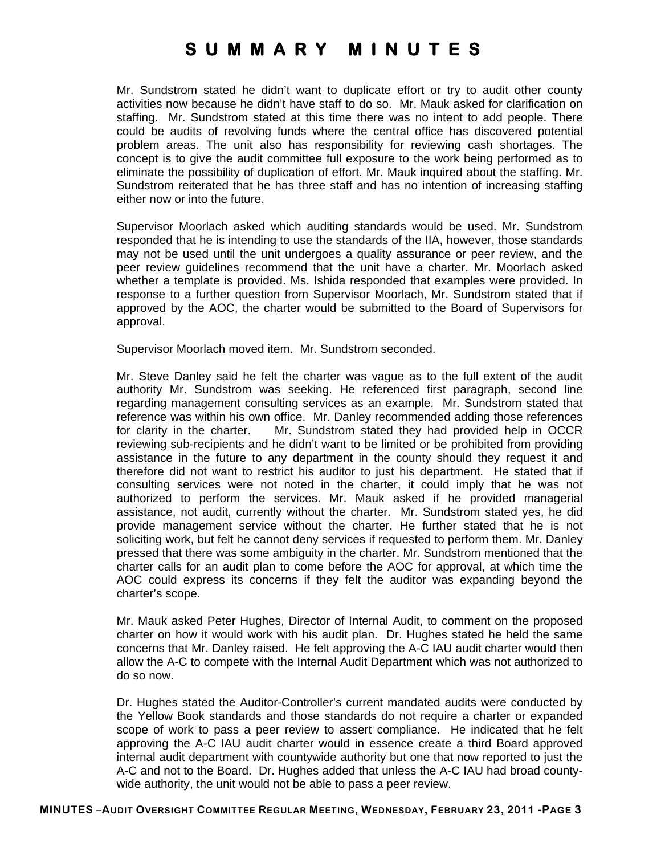Mr. Sundstrom stated he didn't want to duplicate effort or try to audit other county activities now because he didn't have staff to do so. Mr. Mauk asked for clarification on staffing. Mr. Sundstrom stated at this time there was no intent to add people. There could be audits of revolving funds where the central office has discovered potential problem areas. The unit also has responsibility for reviewing cash shortages. The concept is to give the audit committee full exposure to the work being performed as to eliminate the possibility of duplication of effort. Mr. Mauk inquired about the staffing. Mr. Sundstrom reiterated that he has three staff and has no intention of increasing staffing either now or into the future.

Supervisor Moorlach asked which auditing standards would be used. Mr. Sundstrom responded that he is intending to use the standards of the IIA, however, those standards may not be used until the unit undergoes a quality assurance or peer review, and the peer review guidelines recommend that the unit have a charter. Mr. Moorlach asked whether a template is provided. Ms. Ishida responded that examples were provided. In response to a further question from Supervisor Moorlach, Mr. Sundstrom stated that if approved by the AOC, the charter would be submitted to the Board of Supervisors for approval.

Supervisor Moorlach moved item. Mr. Sundstrom seconded.

Mr. Steve Danley said he felt the charter was vague as to the full extent of the audit authority Mr. Sundstrom was seeking. He referenced first paragraph, second line regarding management consulting services as an example. Mr. Sundstrom stated that reference was within his own office. Mr. Danley recommended adding those references for clarity in the charter. Mr. Sundstrom stated they had provided help in OCCR reviewing sub-recipients and he didn't want to be limited or be prohibited from providing assistance in the future to any department in the county should they request it and therefore did not want to restrict his auditor to just his department. He stated that if consulting services were not noted in the charter, it could imply that he was not authorized to perform the services. Mr. Mauk asked if he provided managerial assistance, not audit, currently without the charter. Mr. Sundstrom stated yes, he did provide management service without the charter. He further stated that he is not soliciting work, but felt he cannot deny services if requested to perform them. Mr. Danley pressed that there was some ambiguity in the charter. Mr. Sundstrom mentioned that the charter calls for an audit plan to come before the AOC for approval, at which time the AOC could express its concerns if they felt the auditor was expanding beyond the charter's scope.

Mr. Mauk asked Peter Hughes, Director of Internal Audit, to comment on the proposed charter on how it would work with his audit plan. Dr. Hughes stated he held the same concerns that Mr. Danley raised. He felt approving the A-C IAU audit charter would then allow the A-C to compete with the Internal Audit Department which was not authorized to do so now.

Dr. Hughes stated the Auditor-Controller's current mandated audits were conducted by the Yellow Book standards and those standards do not require a charter or expanded scope of work to pass a peer review to assert compliance. He indicated that he felt approving the A-C IAU audit charter would in essence create a third Board approved internal audit department with countywide authority but one that now reported to just the A-C and not to the Board. Dr. Hughes added that unless the A-C IAU had broad countywide authority, the unit would not be able to pass a peer review.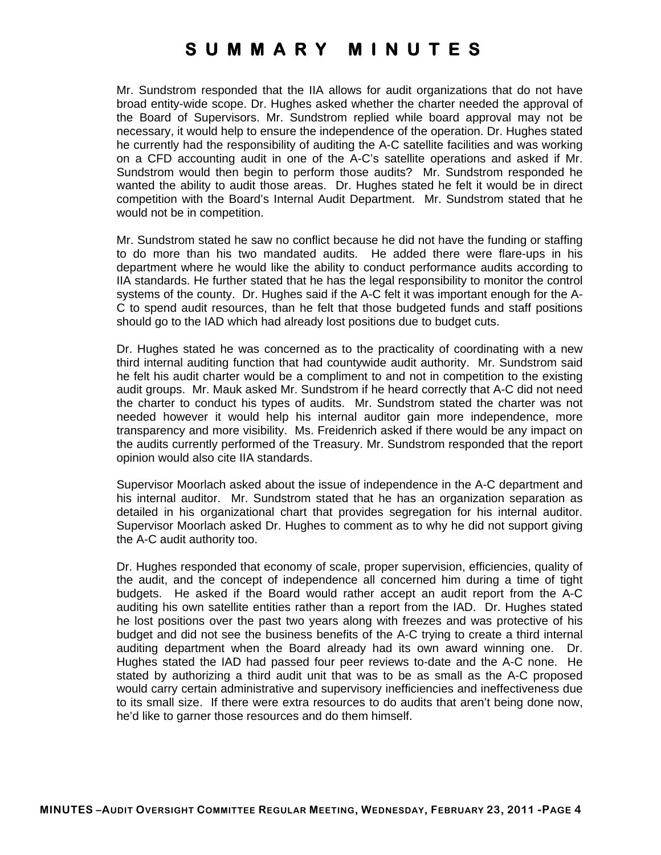Mr. Sundstrom responded that the IIA allows for audit organizations that do not have broad entity-wide scope. Dr. Hughes asked whether the charter needed the approval of the Board of Supervisors. Mr. Sundstrom replied while board approval may not be necessary, it would help to ensure the independence of the operation. Dr. Hughes stated he currently had the responsibility of auditing the A-C satellite facilities and was working on a CFD accounting audit in one of the A-C's satellite operations and asked if Mr. Sundstrom would then begin to perform those audits? Mr. Sundstrom responded he wanted the ability to audit those areas. Dr. Hughes stated he felt it would be in direct competition with the Board's Internal Audit Department. Mr. Sundstrom stated that he would not be in competition.

Mr. Sundstrom stated he saw no conflict because he did not have the funding or staffing to do more than his two mandated audits. He added there were flare-ups in his department where he would like the ability to conduct performance audits according to IIA standards. He further stated that he has the legal responsibility to monitor the control systems of the county. Dr. Hughes said if the A-C felt it was important enough for the A-C to spend audit resources, than he felt that those budgeted funds and staff positions should go to the IAD which had already lost positions due to budget cuts.

Dr. Hughes stated he was concerned as to the practicality of coordinating with a new third internal auditing function that had countywide audit authority. Mr. Sundstrom said he felt his audit charter would be a compliment to and not in competition to the existing audit groups. Mr. Mauk asked Mr. Sundstrom if he heard correctly that A-C did not need the charter to conduct his types of audits. Mr. Sundstrom stated the charter was not needed however it would help his internal auditor gain more independence, more transparency and more visibility. Ms. Freidenrich asked if there would be any impact on the audits currently performed of the Treasury. Mr. Sundstrom responded that the report opinion would also cite IIA standards.

Supervisor Moorlach asked about the issue of independence in the A-C department and his internal auditor. Mr. Sundstrom stated that he has an organization separation as detailed in his organizational chart that provides segregation for his internal auditor. Supervisor Moorlach asked Dr. Hughes to comment as to why he did not support giving the A-C audit authority too.

Dr. Hughes responded that economy of scale, proper supervision, efficiencies, quality of the audit, and the concept of independence all concerned him during a time of tight budgets. He asked if the Board would rather accept an audit report from the A-C auditing his own satellite entities rather than a report from the IAD. Dr. Hughes stated he lost positions over the past two years along with freezes and was protective of his budget and did not see the business benefits of the A-C trying to create a third internal auditing department when the Board already had its own award winning one. Dr. Hughes stated the IAD had passed four peer reviews to-date and the A-C none. He stated by authorizing a third audit unit that was to be as small as the A-C proposed would carry certain administrative and supervisory inefficiencies and ineffectiveness due to its small size. If there were extra resources to do audits that aren't being done now, he'd like to garner those resources and do them himself.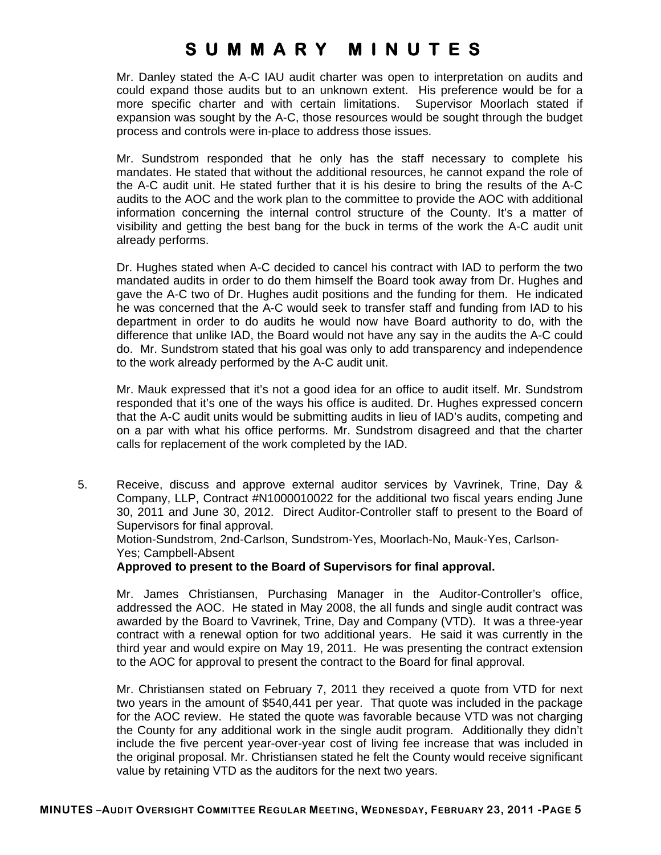Mr. Danley stated the A-C IAU audit charter was open to interpretation on audits and could expand those audits but to an unknown extent. His preference would be for a more specific charter and with certain limitations. Supervisor Moorlach stated if expansion was sought by the A-C, those resources would be sought through the budget process and controls were in-place to address those issues.

Mr. Sundstrom responded that he only has the staff necessary to complete his mandates. He stated that without the additional resources, he cannot expand the role of the A-C audit unit. He stated further that it is his desire to bring the results of the A-C audits to the AOC and the work plan to the committee to provide the AOC with additional information concerning the internal control structure of the County. It's a matter of visibility and getting the best bang for the buck in terms of the work the A-C audit unit already performs.

Dr. Hughes stated when A-C decided to cancel his contract with IAD to perform the two mandated audits in order to do them himself the Board took away from Dr. Hughes and gave the A-C two of Dr. Hughes audit positions and the funding for them. He indicated he was concerned that the A-C would seek to transfer staff and funding from IAD to his department in order to do audits he would now have Board authority to do, with the difference that unlike IAD, the Board would not have any say in the audits the A-C could do. Mr. Sundstrom stated that his goal was only to add transparency and independence to the work already performed by the A-C audit unit.

Mr. Mauk expressed that it's not a good idea for an office to audit itself. Mr. Sundstrom responded that it's one of the ways his office is audited. Dr. Hughes expressed concern that the A-C audit units would be submitting audits in lieu of IAD's audits, competing and on a par with what his office performs. Mr. Sundstrom disagreed and that the charter calls for replacement of the work completed by the IAD.

5. Receive, discuss and approve external auditor services by Vavrinek, Trine, Day & Company, LLP, Contract #N1000010022 for the additional two fiscal years ending June 30, 2011 and June 30, 2012. Direct Auditor-Controller staff to present to the Board of Supervisors for final approval.

Motion-Sundstrom, 2nd-Carlson, Sundstrom-Yes, Moorlach-No, Mauk-Yes, Carlson-Yes; Campbell-Absent

**Approved to present to the Board of Supervisors for final approval.** 

Mr. James Christiansen, Purchasing Manager in the Auditor-Controller's office, addressed the AOC. He stated in May 2008, the all funds and single audit contract was awarded by the Board to Vavrinek, Trine, Day and Company (VTD). It was a three-year contract with a renewal option for two additional years. He said it was currently in the third year and would expire on May 19, 2011. He was presenting the contract extension to the AOC for approval to present the contract to the Board for final approval.

Mr. Christiansen stated on February 7, 2011 they received a quote from VTD for next two years in the amount of \$540,441 per year. That quote was included in the package for the AOC review. He stated the quote was favorable because VTD was not charging the County for any additional work in the single audit program. Additionally they didn't include the five percent year-over-year cost of living fee increase that was included in the original proposal. Mr. Christiansen stated he felt the County would receive significant value by retaining VTD as the auditors for the next two years.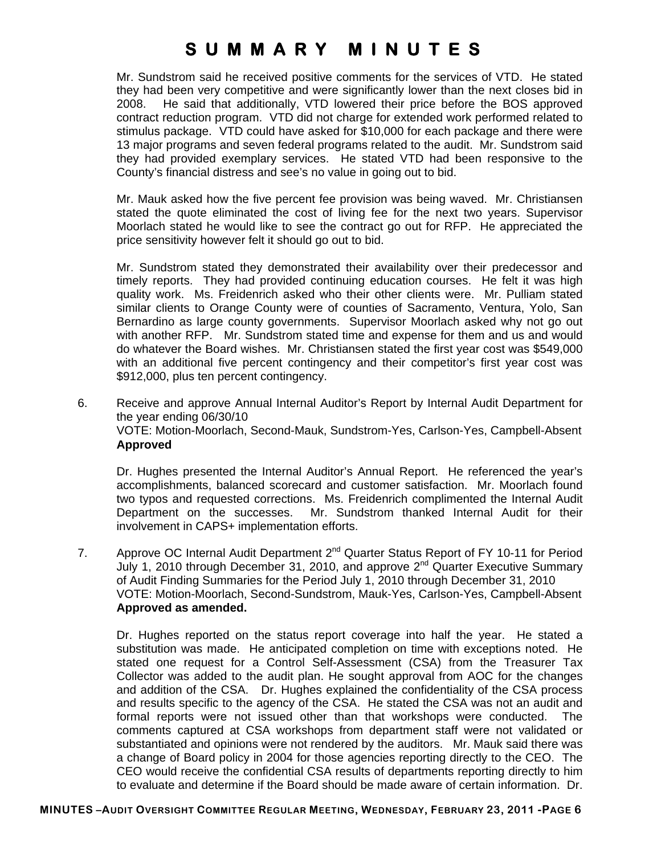Mr. Sundstrom said he received positive comments for the services of VTD. He stated they had been very competitive and were significantly lower than the next closes bid in 2008. He said that additionally, VTD lowered their price before the BOS approved contract reduction program. VTD did not charge for extended work performed related to stimulus package. VTD could have asked for \$10,000 for each package and there were 13 major programs and seven federal programs related to the audit. Mr. Sundstrom said they had provided exemplary services. He stated VTD had been responsive to the County's financial distress and see's no value in going out to bid.

Mr. Mauk asked how the five percent fee provision was being waved. Mr. Christiansen stated the quote eliminated the cost of living fee for the next two years. Supervisor Moorlach stated he would like to see the contract go out for RFP. He appreciated the price sensitivity however felt it should go out to bid.

Mr. Sundstrom stated they demonstrated their availability over their predecessor and timely reports. They had provided continuing education courses. He felt it was high quality work. Ms. Freidenrich asked who their other clients were. Mr. Pulliam stated similar clients to Orange County were of counties of Sacramento, Ventura, Yolo, San Bernardino as large county governments. Supervisor Moorlach asked why not go out with another RFP. Mr. Sundstrom stated time and expense for them and us and would do whatever the Board wishes. Mr. Christiansen stated the first year cost was \$549,000 with an additional five percent contingency and their competitor's first year cost was \$912,000, plus ten percent contingency.

6. Receive and approve Annual Internal Auditor's Report by Internal Audit Department for the year ending 06/30/10 VOTE: Motion-Moorlach, Second-Mauk, Sundstrom-Yes, Carlson-Yes, Campbell-Absent **Approved** 

Dr. Hughes presented the Internal Auditor's Annual Report. He referenced the year's accomplishments, balanced scorecard and customer satisfaction. Mr. Moorlach found two typos and requested corrections. Ms. Freidenrich complimented the Internal Audit Department on the successes. Mr. Sundstrom thanked Internal Audit for their involvement in CAPS+ implementation efforts.

7. Approve OC Internal Audit Department 2<sup>nd</sup> Quarter Status Report of FY 10-11 for Period July 1, 2010 through December 31, 2010, and approve  $2^{nd}$  Quarter Executive Summary of Audit Finding Summaries for the Period July 1, 2010 through December 31, 2010 VOTE: Motion-Moorlach, Second-Sundstrom, Mauk-Yes, Carlson-Yes, Campbell-Absent **Approved as amended.** 

Dr. Hughes reported on the status report coverage into half the year. He stated a substitution was made. He anticipated completion on time with exceptions noted. He stated one request for a Control Self-Assessment (CSA) from the Treasurer Tax Collector was added to the audit plan. He sought approval from AOC for the changes and addition of the CSA. Dr. Hughes explained the confidentiality of the CSA process and results specific to the agency of the CSA. He stated the CSA was not an audit and formal reports were not issued other than that workshops were conducted. The comments captured at CSA workshops from department staff were not validated or substantiated and opinions were not rendered by the auditors. Mr. Mauk said there was a change of Board policy in 2004 for those agencies reporting directly to the CEO. The CEO would receive the confidential CSA results of departments reporting directly to him to evaluate and determine if the Board should be made aware of certain information. Dr.